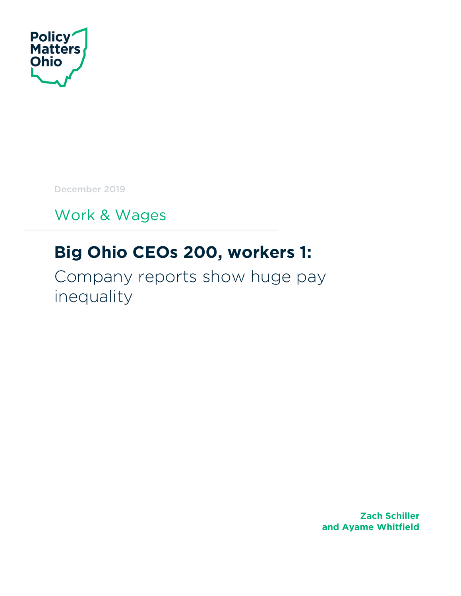

December 2019

Work & Wages

# **Big Ohio CEOs 200, workers 1:**

Company reports show huge pay inequality

> **Zach Schiller and Ayame Whitfield**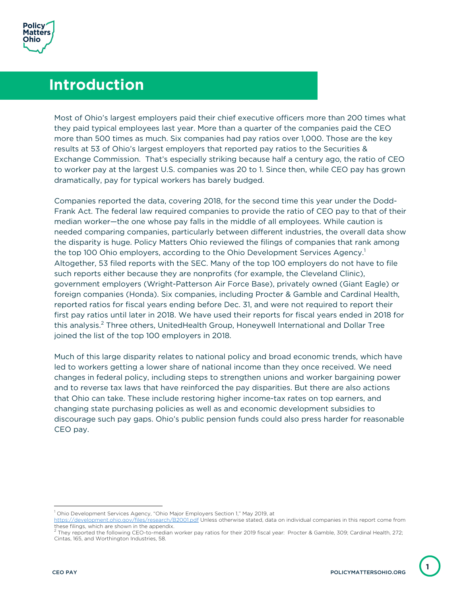

## **Introduction**

Most of Ohio's largest employers paid their chief executive officers more than 200 times what they paid typical employees last year. More than a quarter of the companies paid the CEO more than 500 times as much. Six companies had pay ratios over 1,000. Those are the key results at 53 of Ohio's largest employers that reported pay ratios to the Securities & Exchange Commission. That's especially striking because half a century ago, the ratio of CEO to worker pay at the largest U.S. companies was 20 to 1. Since then, while CEO pay has grown dramatically, pay for typical workers has barely budged.

Companies reported the data, covering 2018, for the second time this year under the Dodd-Frank Act. The federal law required companies to provide the ratio of CEO pay to that of their median worker—the one whose pay falls in the middle of all employees. While caution is needed comparing companies, particularly between different industries, the overall data show the disparity is huge. Policy Matters Ohio reviewed the filings of companies that rank among the top 100 Ohio employers, according to the Ohio Development Services Agency.<sup>1</sup> Altogether, 53 filed reports with the SEC. Many of the top 100 employers do not have to file such reports either because they are nonprofits (for example, the Cleveland Clinic), government employers (Wright-Patterson Air Force Base), privately owned (Giant Eagle) or foreign companies (Honda). Six companies, including Procter & Gamble and Cardinal Health, reported ratios for fiscal years ending before Dec. 31, and were not required to report their first pay ratios until later in 2018. We have used their reports for fiscal years ended in 2018 for this analysis.<sup>2</sup> Three others, UnitedHealth Group, Honeywell International and Dollar Tree joined the list of the top 100 employers in 2018.

Much of this large disparity relates to national policy and broad economic trends, which have led to workers getting a lower share of national income than they once received. We need changes in federal policy, including steps to strengthen unions and worker bargaining power and to reverse tax laws that have reinforced the pay disparities. But there are also actions that Ohio can take. These include restoring higher income-tax rates on top earners, and changing state purchasing policies as well as and economic development subsidies to discourage such pay gaps. Ohio's public pension funds could also press harder for reasonable CEO pay.

**1**

<sup>1</sup> Ohio Development Services Agency, "Ohio Major Employers Section 1," May 2019, at

https://development.ohio.gov/files/research/B2001.pdf Unless otherwise stated, data on individual companies in this report come from these filings, which are shown in the appendix.

<sup>2</sup> They reported the following CEO-to-median worker pay ratios for their 2019 fiscal year: Procter & Gamble, 309; Cardinal Health, 272; Cintas, 165, and Worthington Industries, 58.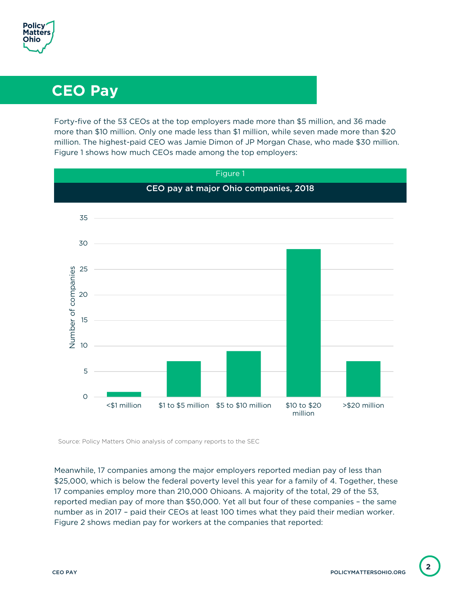

# **CEO Pay**

Forty-five of the 53 CEOs at the top employers made more than \$5 million, and 36 made more than \$10 million. Only one made less than \$1 million, while seven made more than \$20 million. The highest-paid CEO was Jamie Dimon of JP Morgan Chase, who made \$30 million. Figure 1 shows how much CEOs made among the top employers:



Source: Policy Matters Ohio analysis of company reports to the SEC

Meanwhile, 17 companies among the major employers reported median pay of less than \$25,000, which is below the federal poverty level this year for a family of 4. Together, these 17 companies employ more than 210,000 Ohioans. A majority of the total, 29 of the 53, reported median pay of more than \$50,000. Yet all but four of these companies – the same number as in 2017 – paid their CEOs at least 100 times what they paid their median worker. Figure 2 shows median pay for workers at the companies that reported: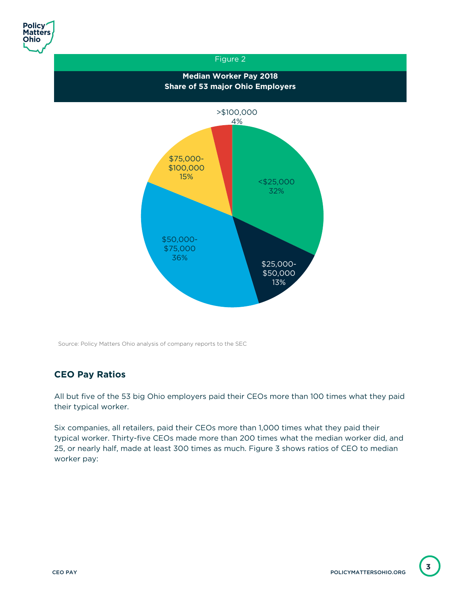

### Figure 2 **Median Worker Pay 2018 Share of 53 major Ohio Employers** <\$25,000 32% \$25,000- \$50,000 13% \$50,000- \$75,000 36% \$75,000- \$100,000 15% >\$100,000 4%

Source: Policy Matters Ohio analysis of company reports to the SEC

### **CEO Pay Ratios**

All but five of the 53 big Ohio employers paid their CEOs more than 100 times what they paid their typical worker.

Six companies, all retailers, paid their CEOs more than 1,000 times what they paid their typical worker. Thirty-five CEOs made more than 200 times what the median worker did, and 25, or nearly half, made at least 300 times as much. Figure 3 shows ratios of CEO to median worker pay: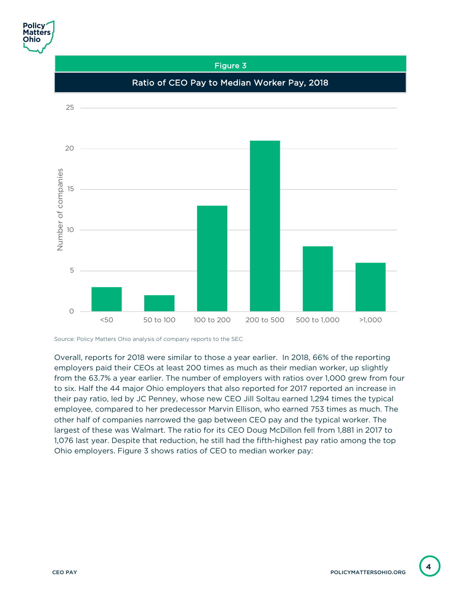

Source: Policy Matters Ohio analysis of company reports to the SEC

Overall, reports for 2018 were similar to those a year earlier. In 2018, 66% of the reporting employers paid their CEOs at least 200 times as much as their median worker, up slightly from the 63.7% a year earlier. The number of employers with ratios over 1,000 grew from four to six. Half the 44 major Ohio employers that also reported for 2017 reported an increase in their pay ratio, led by JC Penney, whose new CEO Jill Soltau earned 1,294 times the typical employee, compared to her predecessor Marvin Ellison, who earned 753 times as much. The other half of companies narrowed the gap between CEO pay and the typical worker. The largest of these was Walmart. The ratio for its CEO Doug McDillon fell from 1,881 in 2017 to 1,076 last year. Despite that reduction, he still had the fifth-highest pay ratio among the top Ohio employers. Figure 3 shows ratios of CEO to median worker pay: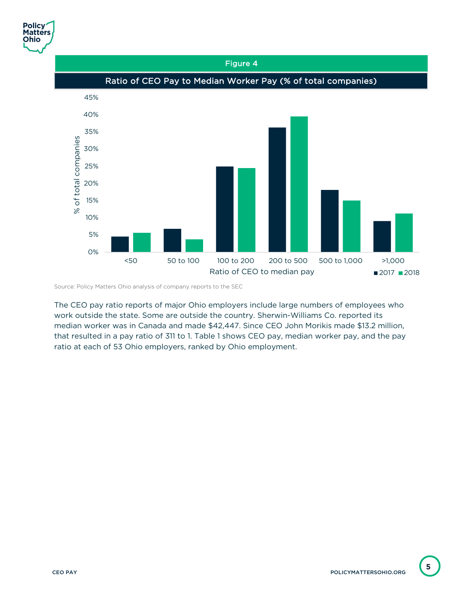

### Figure 4 Ratio of CEO Pay to Median Worker Pay (% of total companies)45% 40% 35% % of total companies % of total companies 30% 25% 20% 15% 10% 5% 0%

<50 50 to 100 100 to 200 200 to 500 500 to 1,000 >1,000

Ratio of CEO to median pay  $\blacksquare$  2017  $\blacksquare$  2018

Source: Policy Matters Ohio analysis of company reports to the SEC

The CEO pay ratio reports of major Ohio employers include large numbers of employees who work outside the state. Some are outside the country. Sherwin-Williams Co. reported its median worker was in Canada and made \$42,447. Since CEO John Morikis made \$13.2 million, that resulted in a pay ratio of 311 to 1. Table 1 shows CEO pay, median worker pay, and the pay ratio at each of 53 Ohio employers, ranked by Ohio employment.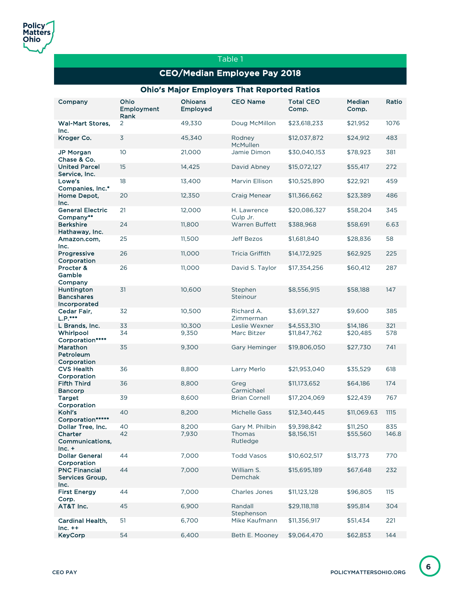#### Table 1

### CEO/Median Employee Pay 2018

#### Ohio's Major Employers That Reported Ratios

| Company                                             | Ohio<br>Employment<br>Rank | <b>Ohioans</b><br><b>Employed</b> | <b>CEO Name</b>         | <b>Total CEO</b><br>Comp. | <b>Median</b><br>Comp. | Ratio |
|-----------------------------------------------------|----------------------------|-----------------------------------|-------------------------|---------------------------|------------------------|-------|
| <b>Wal-Mart Stores,</b><br>Inc.                     | 2                          | 49,330                            | Doug McMillon           | \$23,618,233              | \$21,952               | 1076  |
| Kroger Co.                                          | $\overline{3}$             | 45,340                            | Rodney<br>McMullen      | \$12,037,872              | \$24,912               | 483   |
| <b>JP Morgan</b><br>Chase & Co.                     | 10                         | 21,000                            | Jamie Dimon             | \$30,040,153              | \$78,923               | 381   |
| <b>United Parcel</b><br>Service, Inc.               | 15                         | 14,425                            | David Abney             | \$15,072,127              | \$55,417               | 272   |
| Lowe's<br>Companies, Inc.*                          | 18                         | 13,400                            | Marvin Ellison          | \$10,525,890              | \$22,921               | 459   |
| Home Depot,<br>Inc.                                 | 20                         | 12,350                            | Craig Menear            | \$11,366,662              | \$23,389               | 486   |
| <b>General Electric</b><br>Company**                | 21                         | 12,000                            | H. Lawrence<br>Culp Jr. | \$20,086,327              | \$58,204               | 345   |
| <b>Berkshire</b><br>Hathaway, Inc.                  | 24                         | 11,800                            | <b>Warren Buffett</b>   | \$388,968                 | \$58,691               | 6.63  |
| Amazon.com,<br>Inc.                                 | 25                         | 11,500                            | <b>Jeff Bezos</b>       | \$1,681,840               | \$28,836               | 58    |
| Progressive<br>Corporation                          | 26                         | 11,000                            | <b>Tricia Griffith</b>  | \$14,172,925              | \$62,925               | 225   |
| Procter &<br>Gamble<br>Company                      | 26                         | 11,000                            | David S. Taylor         | \$17,354,256              | \$60,412               | 287   |
| Huntington<br><b>Bancshares</b><br>Incorporated     | 31                         | 10,600                            | Stephen<br>Steinour     | \$8,556,915               | \$58,188               | 147   |
| Cedar Fair.<br>$L.P.***$                            | 32                         | 10,500                            | Richard A.<br>Zimmerman | \$3,691,327               | \$9,600                | 385   |
| L Brands, Inc.                                      | 33                         | 10,300                            | Leslie Wexner           | \$4,553,310               | \$14,186               | 321   |
| Whirlpool<br>Corporation****                        | 34                         | 9,350                             | Marc Bitzer             | \$11,847,762              | \$20,485               | 578   |
| Marathon<br>Petroleum<br>Corporation                | 35                         | 9,300                             | Gary Heminger           | \$19,806,050              | \$27,730               | 741   |
| <b>CVS Health</b>                                   | 36                         | 8,800                             | Larry Merlo             | \$21,953,040              | \$35,529               | 618   |
| Corporation<br><b>Fifth Third</b><br><b>Bancorp</b> | 36                         | 8,800                             | Greg<br>Carmichael      | \$11,173,652              | \$64,186               | 174   |
| <b>Target</b><br>Corporation                        | 39                         | 8,600                             | <b>Brian Cornell</b>    | \$17,204,069              | \$22,439               | 767   |
| Kohl's<br>Corporation*                              | 40                         | 8,200                             | <b>Michelle Gass</b>    | \$12,340,445              | \$11,069.63            | 1115  |
| Dollar Tree, Inc.                                   | 40                         | 8,200                             | Gary M. Philbin         | \$9,398,842               | \$11,250               | 835   |
| Charter<br>Communications,<br>$Inc. +$              | 42                         | 7,930                             | Thomas<br>Rutledge      | \$8,156,151               | \$55,560               | 146.8 |
| <b>Dollar General</b><br>Corporation                | 44                         | 7,000                             | <b>Todd Vasos</b>       | \$10,602,517              | \$13,773               | 770   |
| <b>PNC Financial</b><br>Services Group,<br>Inc.     | 44                         | 7,000                             | William S.<br>Demchak   | \$15,695,189              | \$67,648               | 232   |
| <b>First Energy</b><br>Corp.                        | 44                         | 7,000                             | <b>Charles Jones</b>    | \$11,123,128              | \$96,805               | 115   |
| AT&T Inc.                                           | 45                         | 6,900                             | Randall<br>Stephenson   | \$29,118,118              | \$95,814               | 304   |
| Cardinal Health,<br>$Inc. ++$                       | 51                         | 6,700                             | Mike Kaufmann           | \$11,356,917              | \$51,434               | 221   |
| <b>KeyCorp</b>                                      | 54                         | 6,400                             | Beth E. Mooney          | \$9,064,470               | \$62,853               | 144   |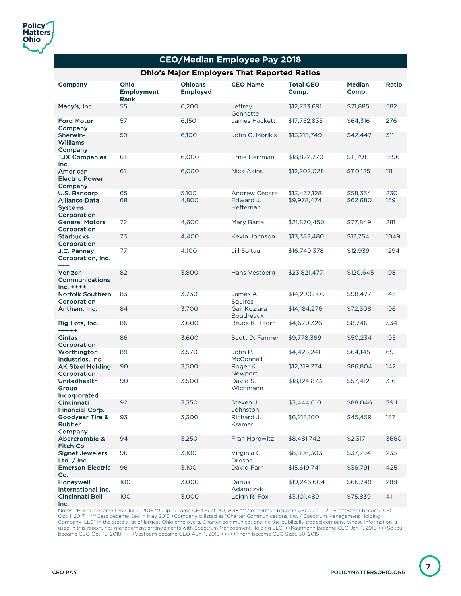| <b>CEO/Median Employee Pay 2018</b>                   |                                   |                                   |                                  |                           |                        |       |  |
|-------------------------------------------------------|-----------------------------------|-----------------------------------|----------------------------------|---------------------------|------------------------|-------|--|
| <b>Ohio's Major Employers That Reported Ratios</b>    |                                   |                                   |                                  |                           |                        |       |  |
| <b>Company</b>                                        | Ohio<br><b>Employment</b><br>Rank | <b>Ohioans</b><br><b>Employed</b> | <b>CEO Name</b>                  | <b>Total CEO</b><br>Comp. | <b>Median</b><br>Comp. | Ratio |  |
| Macy's, Inc.                                          | 55                                | 6,200                             | Jeffrey<br>Gennette              | \$12,733,691              | \$21,885               | 582   |  |
| <b>Ford Motor</b><br>Company                          | 57                                | 6,150                             | James Hackett                    | \$17,752,835              | \$64,316               | 276   |  |
| Sherwin-<br><b>Williams</b><br>Company                | 59                                | 6,100                             | John G. Morikis                  | \$13,213,749              | \$42,447               | 311   |  |
| <b>TJX Companies</b><br>Inc.                          | 61                                | 6,000                             | Ernie Herrman                    | \$18,822,770              | \$11,791               | 1596  |  |
| American<br><b>Electric Power</b><br>Company          | 61                                | 6,000                             | <b>Nick Akins</b>                | \$12,202,028              | \$110,125              | 111   |  |
| U.S. Bancorp                                          | 65                                | 5,100                             | <b>Andrew Cecere</b>             | \$13,437,128              | \$58,354               | 230   |  |
| <b>Alliance Data</b><br><b>Systems</b><br>Corporation | 68                                | 4,800                             | Edward J.<br>Heffernan           | \$9,978,474               | \$62,680               | 159   |  |
| <b>General Motors</b><br>Corporation                  | 72                                | 4,600                             | Mary Barra                       | \$21,870,450              | \$77,849               | 281   |  |
| <b>Starbucks</b><br>Corporation                       | 73                                | 4,400                             | Kevin Johnson                    | \$13,382,480              | \$12,754               | 1049  |  |
| J.C. Penney<br>Corporation, Inc.<br>$^{+++}$          | 77                                | 4,100                             | Jill Soltau                      | \$16,749,378              | \$12,939               | 1294  |  |
| Verizon<br>Communications<br>$Inc. ++++$              | 82                                | 3,800                             | Hans Vestberg                    | \$23,821,477              | \$120,645              | 198   |  |
| Norfolk Southern<br>Corporation                       | 83                                | 3,730                             | James A.<br><b>Squires</b>       | \$14,290,805              | \$98,477               | 145   |  |
| Anthem, Inc.                                          | 84                                | 3,700                             | Gail Koziara<br><b>Boudreaux</b> | \$14,184,276              | \$72,308               | 196   |  |
| Big Lots, Inc.<br>$***+$                              | 86                                | 3,600                             | Bruce K. Thorn                   | \$4,670,326               | \$8,746                | 534   |  |
| Cintas<br>Corporation                                 | 86                                | 3,600                             | Scott D. Farmer                  | \$9,778,369               | \$50,234               | 195   |  |
| Worthington<br>Industries, Inc.                       | 89                                | 3,570                             | John P.<br>McConnell             | \$4,428,241               | \$64,145               | 69    |  |
| <b>AK Steel Holding</b><br>Corporation                | 90                                | 3,500                             | Roger K.<br>Newport              | \$12,319,274              | \$86,804               | 142   |  |
| <b>Unitedhealth</b><br>Group<br><b>Incorporated</b>   | 90                                | 3,500                             | David S.<br>Wichmann             | \$18,124,873              | \$57,412               | 316   |  |
| Cincinnati<br><b>Financial Corp.</b>                  | 92                                | 3,350                             | Steven J.<br>Johnston            | \$3,444,610               | \$88,046               | 39.1  |  |
| Goodyear Tire &<br>Rubber<br>Company                  | 93                                | 3,300                             | Richard J.<br>Kramer             | \$6,213,100               | \$45,459               | 137   |  |
| Abercrombie &<br>Fitch Co.                            | 94                                | 3,250                             | Fran Horowitz                    | \$8,481,742               | \$2,317                | 3660  |  |
| <b>Signet Jewelers</b><br>Ltd. $/$ Inc.               | 96                                | 3,100                             | Virginia C.<br>Drosos            | \$8,896,303               | \$37,794               | 235   |  |
| <b>Emerson Electric</b><br>Co.                        | 96                                | 3,100                             | David Farr                       | \$15,619,741              | \$36,791               | 425   |  |
| Honeywell<br>International Inc.                       | 100                               | 3,000                             | Darius<br>Adamczyk               | \$19,246,604              | \$66,749               | 288   |  |
| <b>Cincinnati Bell</b>                                | 100                               | 3,000                             | Leigh R. Fox                     | \$3,101,489               | \$75,839               | 41    |  |

Inc.

Notes: \*Ellison became CEO Jul. 2, 2018 \*\*Culp became CEO Sept. 30, 2018 \*\*\*Zimmerman became CEO Jan. 1, 2018 \*\*\*\*Bitzer became CEO<br>Oct. 1, 2017 \*\*\*\*\*Gass became Ceo in May 2018 +Company is listed as "Charter Communication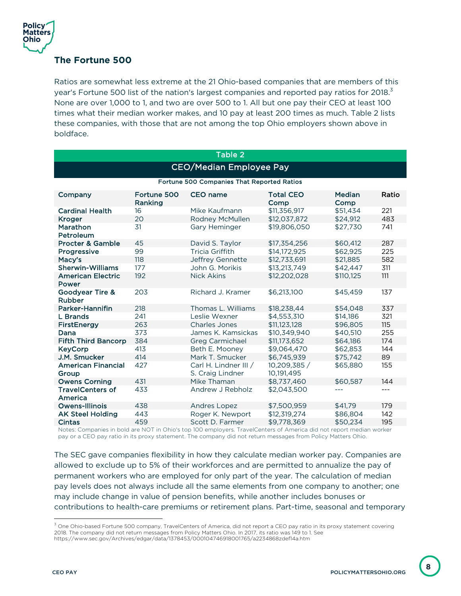

#### **The Fortune 500**

Ratios are somewhat less extreme at the 21 Ohio-based companies that are members of this year's Fortune 500 list of the nation's largest companies and reported pay ratios for 2018.<sup>3</sup> None are over 1,000 to 1, and two are over 500 to 1. All but one pay their CEO at least 100 times what their median worker makes, and 10 pay at least 200 times as much. Table 2 lists these companies, with those that are not among the top Ohio employers shown above in boldface.

| <b>Table 2</b>                             |                        |                                           |                            |                       |       |  |  |
|--------------------------------------------|------------------------|-------------------------------------------|----------------------------|-----------------------|-------|--|--|
| <b>CEO/Median Employee Pay</b>             |                        |                                           |                            |                       |       |  |  |
| Fortune 500 Companies That Reported Ratios |                        |                                           |                            |                       |       |  |  |
| Company                                    | Fortune 500<br>Ranking | <b>CEO</b> name                           | <b>Total CEO</b><br>Comp   | <b>Median</b><br>Comp | Ratio |  |  |
| <b>Cardinal Health</b>                     | 16                     | Mike Kaufmann                             | \$11,356,917               | \$51.434              | 221   |  |  |
| <b>Kroger</b>                              | 20                     | Rodney McMullen                           | \$12,037,872               | \$24,912              | 483   |  |  |
| Marathon<br>Petroleum                      | 31                     | Gary Heminger                             | \$19,806,050               | \$27,730              | 741   |  |  |
| <b>Procter &amp; Gamble</b>                | 45                     | David S. Taylor                           | \$17.354.256               | \$60,412              | 287   |  |  |
| Progressive                                | 99                     | <b>Tricia Griffith</b>                    | \$14,172,925               | \$62.925              | 225   |  |  |
| Macy's                                     | 118                    | Jeffrey Gennette                          | \$12,733,691               | \$21,885              | 582   |  |  |
| <b>Sherwin-Williams</b>                    | 177                    | John G. Morikis                           | \$13,213,749               | \$42,447              | 311   |  |  |
| <b>American Electric</b><br>Power          | 192                    | <b>Nick Akins</b>                         | \$12,202,028               | \$110,125             | 111   |  |  |
| Goodyear Tire &<br>Rubber                  | 203                    | Richard J. Kramer                         | \$6,213,100                | \$45,459              | 137   |  |  |
| Parker-Hannifin                            | 218                    | Thomas L. Williams                        | \$18,238,44                | \$54,048              | 337   |  |  |
| L Brands                                   | 241                    | Leslie Wexner                             | \$4,553,310                | \$14,186              | 321   |  |  |
| <b>FirstEnergy</b>                         | 263                    | <b>Charles Jones</b>                      | \$11,123,128               | \$96,805              | 115   |  |  |
| Dana                                       | 373                    | James K. Kamsickas                        | \$10.349.940               | \$40,510              | 255   |  |  |
| <b>Fifth Third Bancorp</b>                 | 384                    | <b>Greg Carmichael</b>                    | \$11,173,652               | \$64,186              | 174   |  |  |
| <b>KeyCorp</b>                             | 413                    | Beth E. Mooney                            | \$9,064,470                | \$62,853              | 144   |  |  |
| J.M. Smucker                               | 414                    | Mark T. Smucker                           | \$6,745,939                | \$75,742              | 89    |  |  |
| <b>American Financial</b><br>Group         | 427                    | Carl H. Lindner III /<br>S. Craig Lindner | 10,209,385 /<br>10.191.495 | \$65,880              | 155   |  |  |
| <b>Owens Corning</b>                       | 431                    | Mike Thaman                               | \$8,737,460                | \$60,587              | 144   |  |  |
| <b>TravelCenters of</b><br>America         | 433                    | Andrew J Rebholz                          | \$2,043,500                | ---                   | $---$ |  |  |
| Owens-Illinois                             | 438                    | <b>Andres Lopez</b>                       | \$7,500,959                | \$41.79               | 179   |  |  |
| <b>AK Steel Holding</b>                    | 443                    | Roger K. Newport                          | \$12,319,274               | \$86,804              | 142   |  |  |
| <b>Cintas</b>                              | 459                    | Scott D. Farmer                           | \$9,778,369                | \$50,234              | 195   |  |  |

Notes: Companies in bold are NOT in Ohio's top 100 employers. TravelCenters of America did not report median worker pay or a CEO pay ratio in its proxy statement. The company did not return messages from Policy Matters Ohio.

The SEC gave companies flexibility in how they calculate median worker pay. Companies are allowed to exclude up to 5% of their workforces and are permitted to annualize the pay of permanent workers who are employed for only part of the year. The calculation of median pay levels does not always include all the same elements from one company to another; one may include change in value of pension benefits, while another includes bonuses or contributions to health-care premiums or retirement plans. Part-time, seasonal and temporary

 $3$  One Ohio-based Fortune 500 company, TravelCenters of America, did not report a CEO pay ratio in its proxy statement covering 2018. The company did not return messages from Policy Matters Ohio. In 2017, its ratio was 149 to 1. See https://www.sec.gov/Archives/edgar/data/1378453/000104746918001765/a2234868zdef14a.htm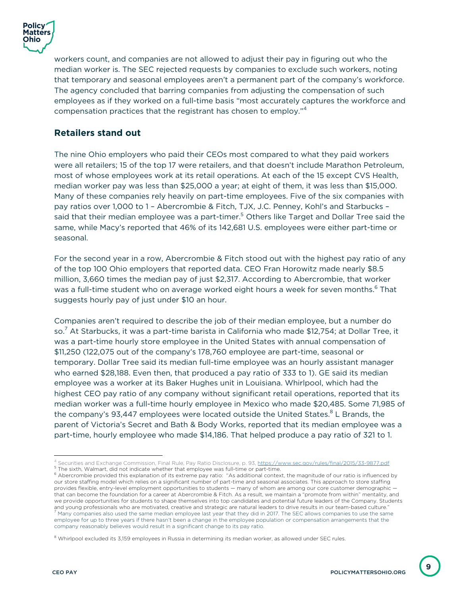

workers count, and companies are not allowed to adjust their pay in figuring out who the median worker is. The SEC rejected requests by companies to exclude such workers, noting that temporary and seasonal employees aren't a permanent part of the company's workforce. The agency concluded that barring companies from adjusting the compensation of such employees as if they worked on a full-time basis "most accurately captures the workforce and compensation practices that the registrant has chosen to employ."<sup>4</sup>

#### **Retailers stand out**

The nine Ohio employers who paid their CEOs most compared to what they paid workers were all retailers; 15 of the top 17 were retailers, and that doesn't include Marathon Petroleum, most of whose employees work at its retail operations. At each of the 15 except CVS Health, median worker pay was less than \$25,000 a year; at eight of them, it was less than \$15,000. Many of these companies rely heavily on part-time employees. Five of the six companies with pay ratios over 1,000 to 1 – Abercrombie & Fitch, TJX, J.C. Penney, Kohl's and Starbucks – said that their median employee was a part-timer.<sup>5</sup> Others like Target and Dollar Tree said the same, while Macy's reported that 46% of its 142,681 U.S. employees were either part-time or seasonal.

For the second year in a row, Abercrombie & Fitch stood out with the highest pay ratio of any of the top 100 Ohio employers that reported data. CEO Fran Horowitz made nearly \$8.5 million, 3,660 times the median pay of just \$2,317. According to Abercrombie, that worker was a full-time student who on average worked eight hours a week for seven months.<sup>6</sup> That suggests hourly pay of just under \$10 an hour.

Companies aren't required to describe the job of their median employee, but a number do so.<sup>7</sup> At Starbucks, it was a part-time barista in California who made \$12,754; at Dollar Tree, it was a part-time hourly store employee in the United States with annual compensation of \$11,250 (122,075 out of the company's 178,760 employee are part-time, seasonal or temporary. Dollar Tree said its median full-time employee was an hourly assistant manager who earned \$28,188. Even then, that produced a pay ratio of 333 to 1). GE said its median employee was a worker at its Baker Hughes unit in Louisiana. Whirlpool, which had the highest CEO pay ratio of any company without significant retail operations, reported that its median worker was a full-time hourly employee in Mexico who made \$20,485. Some 71,985 of the company's 93,447 employees were located outside the United States. $8$  L Brands, the parent of Victoria's Secret and Bath & Body Works, reported that its median employee was a part-time, hourly employee who made \$14,186. That helped produce a pay ratio of 321 to 1.

**9**

 $^4$  Securities and Exchange Commission, Final Rule, Pay Ratio Disclosure, p. 93, <u>https://www.sec.gov/rules/final/2015/33-9877.pdf</u><br> $^5$ The sixth, Walmart, did not indicate whether that employee was full-time or part-tim

our store staffing model which relies on a significant number of part-time and seasonal associates. This approach to store staffing provides flexible, entry-level employment opportunities to students — many of whom are among our core customer demographic that can become the foundation for a career at Abercrombie & Fitch. As a result, we maintain a "promote from within" mentality, and we provide opportunities for students to shape themselves into top candidates and potential future leaders of the Company. Students and young professionals who are motivated, creative and strategic are natural leaders to drive results in our team-based culture."<br><sup>7</sup> Many companies also used the same median employee last year that they did in 2017. The employee for up to three years if there hasn't been a change in the employee population or compensation arrangements that the company reasonably believes would result in a significant change to its pay ratio.

 $8$  Whirlpool excluded its 3.159 employees in Russia in determining its median worker, as allowed under SEC rules.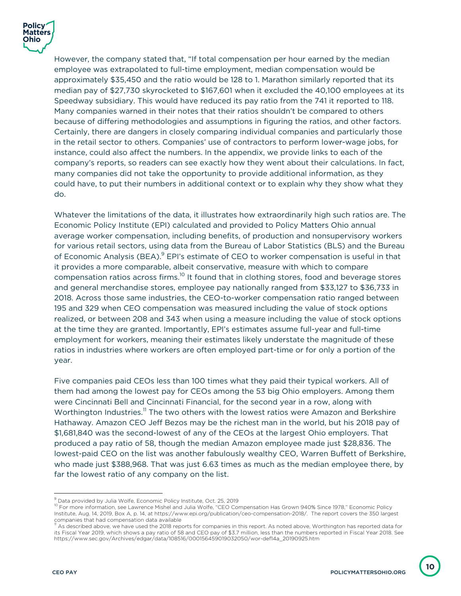

However, the company stated that, "If total compensation per hour earned by the median employee was extrapolated to full-time employment, median compensation would be approximately \$35,450 and the ratio would be 128 to 1. Marathon similarly reported that its median pay of \$27,730 skyrocketed to \$167,601 when it excluded the 40,100 employees at its Speedway subsidiary. This would have reduced its pay ratio from the 741 it reported to 118. Many companies warned in their notes that their ratios shouldn't be compared to others because of differing methodologies and assumptions in figuring the ratios, and other factors. Certainly, there are dangers in closely comparing individual companies and particularly those in the retail sector to others. Companies' use of contractors to perform lower-wage jobs, for instance, could also affect the numbers. In the appendix, we provide links to each of the company's reports, so readers can see exactly how they went about their calculations. In fact, many companies did not take the opportunity to provide additional information, as they could have, to put their numbers in additional context or to explain why they show what they do.

Whatever the limitations of the data, it illustrates how extraordinarily high such ratios are. The Economic Policy Institute (EPI) calculated and provided to Policy Matters Ohio annual average worker compensation, including benefits, of production and nonsupervisory workers for various retail sectors, using data from the Bureau of Labor Statistics (BLS) and the Bureau of Economic Analysis (BEA). $9$  EPI's estimate of CEO to worker compensation is useful in that it provides a more comparable, albeit conservative, measure with which to compare compensation ratios across firms.<sup>10</sup> It found that in clothing stores, food and beverage stores and general merchandise stores, employee pay nationally ranged from \$33,127 to \$36,733 in 2018. Across those same industries, the CEO-to-worker compensation ratio ranged between 195 and 329 when CEO compensation was measured including the value of stock options realized, or between 208 and 343 when using a measure including the value of stock options at the time they are granted. Importantly, EPI's estimates assume full-year and full-time employment for workers, meaning their estimates likely understate the magnitude of these ratios in industries where workers are often employed part-time or for only a portion of the year.

Five companies paid CEOs less than 100 times what they paid their typical workers. All of them had among the lowest pay for CEOs among the 53 big Ohio employers. Among them were Cincinnati Bell and Cincinnati Financial, for the second year in a row, along with Worthington Industries.<sup>11</sup> The two others with the lowest ratios were Amazon and Berkshire Hathaway. Amazon CEO Jeff Bezos may be the richest man in the world, but his 2018 pay of \$1,681,840 was the second-lowest of any of the CEOs at the largest Ohio employers. That produced a pay ratio of 58, though the median Amazon employee made just \$28,836. The lowest-paid CEO on the list was another fabulously wealthy CEO, Warren Buffett of Berkshire, who made just \$388,968. That was just 6.63 times as much as the median employee there, by far the lowest ratio of any company on the list.

 $^9$  Data provided by Julia Wolfe, Economic Policy Institute, Oct. 25, 2019<br><sup>10</sup> For more information, see Lawrence Mishel and Julia Wolfe, "CEO Compensation Has Grown 940% Since 1978," Economic Policy Institute, Aug. 14, 2019, Box A, p. 14, at https://www.epi.org/publication/ceo-compensation-2018/. The report covers the 350 largest

 $^{\text{\tiny{\textup{II}}}}$  As described above, we have used the 2018 reports for companies in this report. As noted above, Worthington has reported data for its Fiscal Year 2019, which shows a pay ratio of 58 and CEO pay of \$3.7 million, less than the numbers reported in Fiscal Year 2018. See https://www.sec.gov/Archives/edgar/data/108516/000156459019032050/wor-def14a\_20190925.htm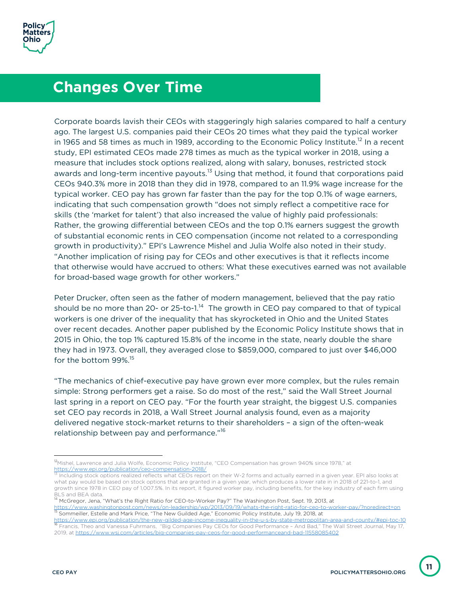### **Changes Over Time**

Corporate boards lavish their CEOs with staggeringly high salaries compared to half a century ago. The largest U.S. companies paid their CEOs 20 times what they paid the typical worker in 1965 and 58 times as much in 1989, according to the Economic Policy Institute.<sup>12</sup> In a recent study, EPI estimated CEOs made 278 times as much as the typical worker in 2018, using a measure that includes stock options realized, along with salary, bonuses, restricted stock awards and long-term incentive payouts.<sup>13</sup> Using that method, it found that corporations paid CEOs 940.3% more in 2018 than they did in 1978, compared to an 11.9% wage increase for the typical worker. CEO pay has grown far faster than the pay for the top 0.1% of wage earners, indicating that such compensation growth "does not simply reflect a competitive race for skills (the 'market for talent') that also increased the value of highly paid professionals: Rather, the growing differential between CEOs and the top 0.1% earners suggest the growth of substantial economic rents in CEO compensation (income not related to a corresponding growth in productivity)." EPI's Lawrence Mishel and Julia Wolfe also noted in their study. "Another implication of rising pay for CEOs and other executives is that it reflects income that otherwise would have accrued to others: What these executives earned was not available for broad-based wage growth for other workers."

Peter Drucker, often seen as the father of modern management, believed that the pay ratio should be no more than 20- or 25-to-1.<sup>14</sup> The growth in CEO pay compared to that of typical workers is one driver of the inequality that has skyrocketed in Ohio and the United States over recent decades. Another paper published by the Economic Policy Institute shows that in 2015 in Ohio, the top 1% captured 15.8% of the income in the state, nearly double the share they had in 1973. Overall, they averaged close to \$859,000, compared to just over \$46,000 for the bottom 99%. 15

"The mechanics of chief-executive pay have grown ever more complex, but the rules remain simple: Strong performers get a raise. So do most of the rest," said the Wall Street Journal last spring in a report on CEO pay. "For the fourth year straight, the biggest U.S. companies set CEO pay records in 2018, a Wall Street Journal analysis found, even as a majority delivered negative stock-market returns to their shareholders – a sign of the often-weak relationship between pay and performance."<sup>16</sup>

<sup>&</sup>lt;sup>12</sup>Mishel, Lawrence and Julia Wolfe, Economic Policy Institute, "CEO Compensation has grown 940% since 1978," at<br>https://www.epi.org/publication/ceo-compensation-2018/<br> $\frac{13}{18}$  Including steels onlinear assliped with

Including stock options realized reflects what CEOs report on their W-2 forms and actually earned in a given year. EPI also looks at what pay would be based on stock options that are granted in a given year, which produces a lower rate in in 2018 of 221-to-1, and growth since 1978 in CEO pay of 1,007.5%. In its report, it figured worker pay, including benefits, for the key industry of each firm using

BLS and BEA data.<br><sup>14</sup> McGregor, Jena, "What's the Right Ratio for CEO-to-Worker Pay?" The Washington Post, Sept. 19, 2013, at

https://www.washingtonpost.com/news/on-leadership/wp/2013/09/19/whats-the-right-ratio-for-ceo-to-worker-pay/?noredirect=on<br><sup>15</sup> Sommeiller, Estelle and Mark Price, "The New Guilded Age," Economic Policy Institute, July 19,

<sup>&</sup>lt;sup>116</sup> Francis, Theo and Vanessa Fuhrmans, "Big Companies Pay CEOs for Good Performance – And Bad," The Wall Street Journal, May 17, 2019, at https://www.wsj.com/articles/big-companies-pay-ceos-for-good-performanceand-bad-11558085402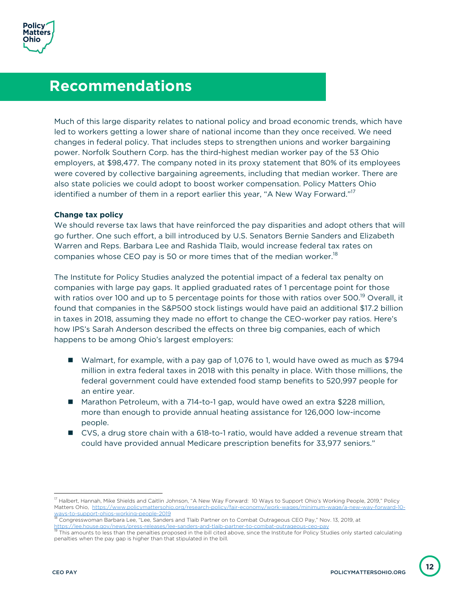## **Recommendations**

Much of this large disparity relates to national policy and broad economic trends, which have led to workers getting a lower share of national income than they once received. We need changes in federal policy. That includes steps to strengthen unions and worker bargaining power. Norfolk Southern Corp. has the third-highest median worker pay of the 53 Ohio employers, at \$98,477. The company noted in its proxy statement that 80% of its employees were covered by collective bargaining agreements, including that median worker. There are also state policies we could adopt to boost worker compensation. Policy Matters Ohio identified a number of them in a report earlier this year, "A New Way Forward."<sup>17</sup>

#### **Change tax policy**

We should reverse tax laws that have reinforced the pay disparities and adopt others that will go further. One such effort, a bill introduced by U.S. Senators Bernie Sanders and Elizabeth Warren and Reps. Barbara Lee and Rashida Tlaib, would increase federal tax rates on companies whose CEO pay is 50 or more times that of the median worker.<sup>18</sup>

The Institute for Policy Studies analyzed the potential impact of a federal tax penalty on companies with large pay gaps. It applied graduated rates of 1 percentage point for those with ratios over 100 and up to 5 percentage points for those with ratios over 500.<sup>19</sup> Overall, it found that companies in the S&P500 stock listings would have paid an additional \$17.2 billion in taxes in 2018, assuming they made no effort to change the CEO-worker pay ratios. Here's how IPS's Sarah Anderson described the effects on three big companies, each of which happens to be among Ohio's largest employers:

- Walmart, for example, with a pay gap of 1,076 to 1, would have owed as much as \$794 million in extra federal taxes in 2018 with this penalty in place. With those millions, the federal government could have extended food stamp benefits to 520,997 people for an entire year.
- Marathon Petroleum, with a 714-to-1 gap, would have owed an extra \$228 million, more than enough to provide annual heating assistance for 126,000 low-income people.
- CVS, a drug store chain with a 618-to-1 ratio, would have added a revenue stream that could have provided annual Medicare prescription benefits for 33,977 seniors."

<sup>&</sup>lt;sup>17</sup> Halbert, Hannah, Mike Shields and Caitlin Johnson, "A New Way Forward: 10 Ways to Support Ohio's Working People, 2019," Policy Matters Ohio, https://www.policymattersohio.org/research-policy/fair-economy/work-wages/minimum-wage/a-new-way-forward-10 ways-to-support-ohios-working-people-2019<br><sup>18</sup> Congresswoman Barbara Lee, "Lee, Sanders and Tlaib Partner on to Combat Outrageous CEO Pay," Nov. 13, 2019, at

https://lee.house.gov/news/press-releases/lee-sanders-and-tlaib-partner-to-combat-outrageous-ceo-pay<br><sup>19</sup> This amounts to less than the penalties proposed in the bill cited above, since the Institute for Policy Studies onl

penalties when the pay gap is higher than that stipulated in the bill.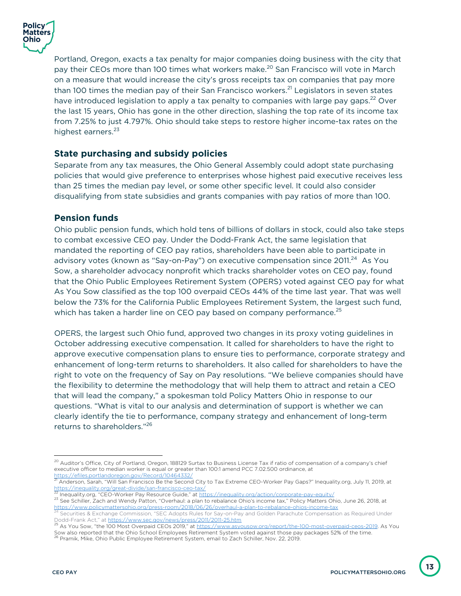

Portland, Oregon, exacts a tax penalty for major companies doing business with the city that pay their CEOs more than 100 times what workers make.<sup>20</sup> San Francisco will vote in March on a measure that would increase the city's gross receipts tax on companies that pay more than 100 times the median pay of their San Francisco workers.<sup>21</sup> Legislators in seven states have introduced legislation to apply a tax penalty to companies with large pay gaps.<sup>22</sup> Over the last 15 years, Ohio has gone in the other direction, slashing the top rate of its income tax from 7.25% to just 4.797%. Ohio should take steps to restore higher income-tax rates on the highest earners.<sup>23</sup>

#### **State purchasing and subsidy policies**

Separate from any tax measures, the Ohio General Assembly could adopt state purchasing policies that would give preference to enterprises whose highest paid executive receives less than 25 times the median pay level, or some other specific level. It could also consider disqualifying from state subsidies and grants companies with pay ratios of more than 100.

#### **Pension funds**

Ohio public pension funds, which hold tens of billions of dollars in stock, could also take steps to combat excessive CEO pay. Under the Dodd-Frank Act, the same legislation that mandated the reporting of CEO pay ratios, shareholders have been able to participate in advisory votes (known as "Say-on-Pay") on executive compensation since 2011.<sup>24</sup> As You Sow, a shareholder advocacy nonprofit which tracks shareholder votes on CEO pay, found that the Ohio Public Employees Retirement System (OPERS) voted against CEO pay for what As You Sow classified as the top 100 overpaid CEOs 44% of the time last year. That was well below the 73% for the California Public Employees Retirement System, the largest such fund, which has taken a harder line on CEO pay based on company performance.<sup>25</sup>

OPERS, the largest such Ohio fund, approved two changes in its proxy voting guidelines in October addressing executive compensation. It called for shareholders to have the right to approve executive compensation plans to ensure ties to performance, corporate strategy and enhancement of long-term returns to shareholders. It also called for shareholders to have the right to vote on the frequency of Say on Pay resolutions. "We believe companies should have the flexibility to determine the methodology that will help them to attract and retain a CEO that will lead the company," a spokesman told Policy Matters Ohio in response to our questions. "What is vital to our analysis and determination of support is whether we can clearly identify the tie to performance, company strategy and enhancement of long-term returns to shareholders."26

 $^{20}$  Auditor's Office, City of Portland, Oregon, 188129 Surtax to Business License Tax if ratio of compensation of a company's chief executive officer to median worker is equal or greater than 100:1 amend PCC 7.02.500 ordinance, at<br>https://efiles.portlandoregon.gov/Record/10464332/

<sup>&</sup>lt;sup>21</sup> Anderson, Sarah, "Will San Francisco Be the Second City to Tax Extreme CEO-Worker Pay Gaps?" Inequality.org, July 11, 2019, at<br><u>https://inequality.org/great-divide/san-francisco-ceo-tax/</u>

<sup>22</sup> Inequality.org, "CEO-Worker Pay Resource Guide," at https://inequality.org/action/corporate-pay-equity/<br>23 See Schiller, Zach and Wendy Patton, "Overhaul: a plan to rebalance Ohio's income tax," Policy Matters Ohio, Jun

<sup>&</sup>lt;sup>24</sup> Securities & Exchange Commission, "SEC Adopts Rules for Say-on-Pay and Golden Parachute Compensation as Required Under<br>Dodd-Frank Act," at https://www.sec.gov/news/press/2011/2011-25.htm

Dodd-Frank Act, "at <u>https://www.sec.gov/news/2019,</u>" at https://www.asyousow.org/report/the-100-most-overpaid-ceos-2019. As You Sow also reported that the Ohio School Employees Retirement System voted against those pay packages 52% of the time.<br><sup>26</sup> Pramik, Mike, Ohio Public Employee Retirement System, email to Zach Schiller, Nov. 22, 2019.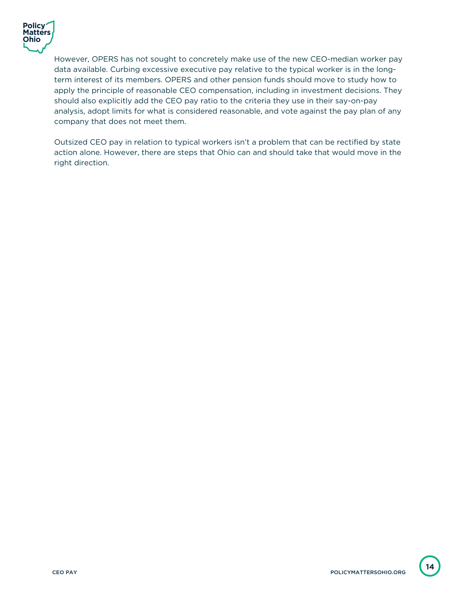

However, OPERS has not sought to concretely make use of the new CEO-median worker pay data available. Curbing excessive executive pay relative to the typical worker is in the longterm interest of its members. OPERS and other pension funds should move to study how to apply the principle of reasonable CEO compensation, including in investment decisions. They should also explicitly add the CEO pay ratio to the criteria they use in their say-on-pay analysis, adopt limits for what is considered reasonable, and vote against the pay plan of any company that does not meet them.

Outsized CEO pay in relation to typical workers isn't a problem that can be rectified by state action alone. However, there are steps that Ohio can and should take that would move in the right direction.

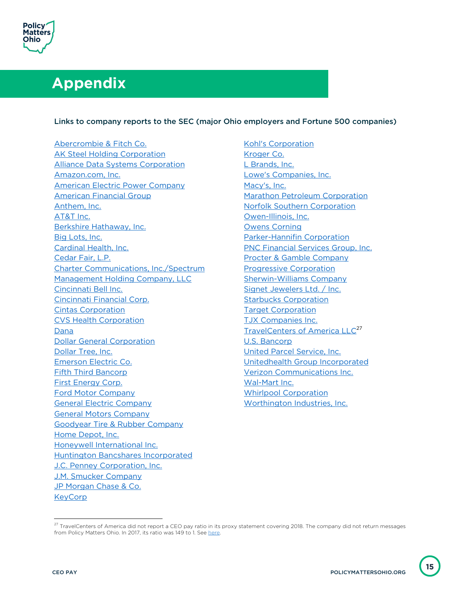

# **Appendix**

#### Links to company reports to the SEC (major Ohio employers and Fortune 500 companies)

Abercrombie & Fitch Co. AK Steel Holding Corporation Alliance Data Systems Corporation Amazon.com, Inc. American Electric Power Company American Financial Group Anthem, Inc. AT&T Inc. Berkshire Hathaway, Inc. Big Lots, Inc. Cardinal Health, Inc. Cedar Fair, L.P. Charter Communications, Inc./Spectrum Management Holding Company, LLC Cincinnati Bell Inc. Cincinnati Financial Corp. Cintas Corporation CVS Health Corporation Dana Dollar General Corporation Dollar Tree, Inc. Emerson Electric Co. Fifth Third Bancorp First Energy Corp. Ford Motor Company General Electric Company General Motors Company Goodyear Tire & Rubber Company Home Depot, Inc. Honeywell International Inc. Huntington Bancshares Incorporated J.C. Penney Corporation, Inc. J.M. Smucker Company JP Morgan Chase & Co. **KeyCorp** 

Kohl's Corporation Kroger Co. L Brands, Inc. Lowe's Companies, Inc. Macy's, Inc. Marathon Petroleum Corporation Norfolk Southern Corporation Owen-Illinois, Inc. Owens Corning Parker-Hannifin Corporation PNC Financial Services Group, Inc. Procter & Gamble Company Progressive Corporation Sherwin-Williams Company Signet Jewelers Ltd. / Inc. Starbucks Corporation Target Corporation TJX Companies Inc. TravelCenters of America LLC<sup>27</sup> U.S. Bancorp United Parcel Service, Inc. Unitedhealth Group Incorporated Verizon Communications Inc. Wal-Mart Inc. Whirlpool Corporation Worthington Industries, Inc.

<sup>&</sup>lt;sup>27</sup> TravelCenters of America did not report a CEO pay ratio in its proxy statement covering 2018. The company did not return messages from Policy Matters Ohio. In 2017, its ratio was 149 to 1. See here.